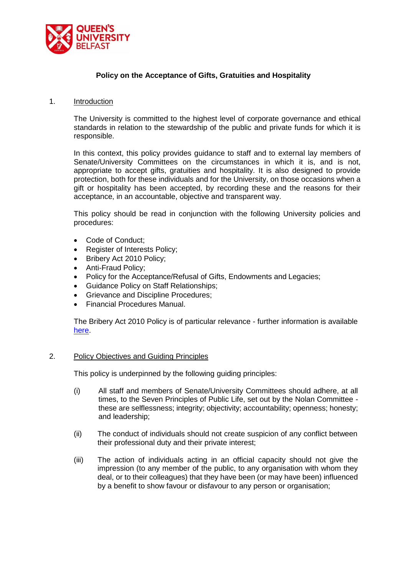

## **Policy on the Acceptance of Gifts, Gratuities and Hospitality**

#### 1. Introduction

The University is committed to the highest level of corporate governance and ethical standards in relation to the stewardship of the public and private funds for which it is responsible.

In this context, this policy provides guidance to staff and to external lay members of Senate/University Committees on the circumstances in which it is, and is not, appropriate to accept gifts, gratuities and hospitality. It is also designed to provide protection, both for these individuals and for the University, on those occasions when a gift or hospitality has been accepted, by recording these and the reasons for their acceptance, in an accountable, objective and transparent way.

This policy should be read in conjunction with the following University policies and procedures:

- Code of Conduct;
- Register of Interests Policy;
- Bribery Act 2010 Policy;
- Anti-Fraud Policy;
- Policy for the Acceptance/Refusal of Gifts, Endowments and Legacies;
- Guidance Policy on Staff Relationships;
- Grievance and Discipline Procedures;
- Financial Procedures Manual.

The Bribery Act 2010 Policy is of particular relevance - further information is available [here.](http://www.qub.ac.uk/about/Leadership-and-structure/Registrars-Office/FileStore/Filetoupload,775017,en.pdf)

## 2. Policy Objectives and Guiding Principles

This policy is underpinned by the following guiding principles:

- (i) All staff and members of Senate/University Committees should adhere, at all times, to the Seven Principles of Public Life, set out by the Nolan Committee these are selflessness; integrity; objectivity; accountability; openness; honesty; and leadership;
- (ii) The conduct of individuals should not create suspicion of any conflict between their professional duty and their private interest;
- (iii) The action of individuals acting in an official capacity should not give the impression (to any member of the public, to any organisation with whom they deal, or to their colleagues) that they have been (or may have been) influenced by a benefit to show favour or disfavour to any person or organisation;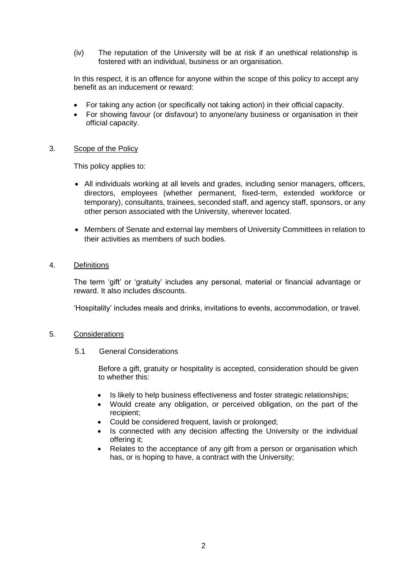(iv) The reputation of the University will be at risk if an unethical relationship is fostered with an individual, business or an organisation.

In this respect, it is an offence for anyone within the scope of this policy to accept any benefit as an inducement or reward:

- For taking any action (or specifically not taking action) in their official capacity.
- For showing favour (or disfavour) to anyone/any business or organisation in their official capacity.

#### 3. Scope of the Policy

This policy applies to:

- All individuals working at all levels and grades, including senior managers, officers, directors, employees (whether permanent, fixed-term, extended workforce or temporary), consultants, trainees, seconded staff, and agency staff, sponsors, or any other person associated with the University, wherever located.
- Members of Senate and external lay members of University Committees in relation to their activities as members of such bodies.

## 4. Definitions

The term 'gift' or 'gratuity' includes any personal, material or financial advantage or reward. It also includes discounts.

'Hospitality' includes meals and drinks, invitations to events, accommodation, or travel.

### 5. Considerations

5.1 General Considerations

Before a gift, gratuity or hospitality is accepted, consideration should be given to whether this:

- Is likely to help business effectiveness and foster strategic relationships;
- Would create any obligation, or perceived obligation, on the part of the recipient;
- Could be considered frequent, lavish or prolonged;
- Is connected with any decision affecting the University or the individual offering it;
- Relates to the acceptance of any gift from a person or organisation which has, or is hoping to have, a contract with the University;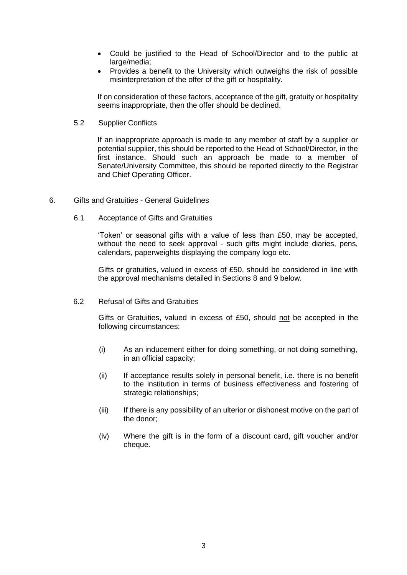- Could be justified to the Head of School/Director and to the public at large/media;
- Provides a benefit to the University which outweighs the risk of possible misinterpretation of the offer of the gift or hospitality.

If on consideration of these factors, acceptance of the gift, gratuity or hospitality seems inappropriate, then the offer should be declined.

5.2 Supplier Conflicts

If an inappropriate approach is made to any member of staff by a supplier or potential supplier, this should be reported to the Head of School/Director, in the first instance. Should such an approach be made to a member of Senate/University Committee, this should be reported directly to the Registrar and Chief Operating Officer.

#### 6. Gifts and Gratuities - General Guidelines

6.1 Acceptance of Gifts and Gratuities

'Token' or seasonal gifts with a value of less than £50, may be accepted, without the need to seek approval - such gifts might include diaries, pens, calendars, paperweights displaying the company logo etc.

Gifts or gratuities, valued in excess of £50, should be considered in line with the approval mechanisms detailed in Sections 8 and 9 below.

6.2 Refusal of Gifts and Gratuities

Gifts or Gratuities, valued in excess of £50, should not be accepted in the following circumstances:

- (i) As an inducement either for doing something, or not doing something, in an official capacity;
- (ii) If acceptance results solely in personal benefit, i.e. there is no benefit to the institution in terms of business effectiveness and fostering of strategic relationships;
- (iii) If there is any possibility of an ulterior or dishonest motive on the part of the donor;
- (iv) Where the gift is in the form of a discount card, gift voucher and/or cheque.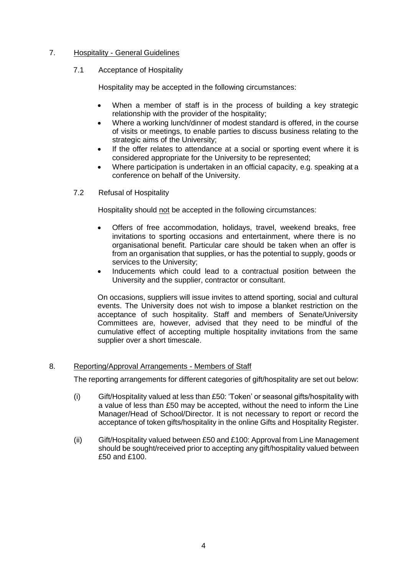## 7. Hospitality - General Guidelines

### 7.1 Acceptance of Hospitality

Hospitality may be accepted in the following circumstances:

- When a member of staff is in the process of building a key strategic relationship with the provider of the hospitality;
- Where a working lunch/dinner of modest standard is offered, in the course of visits or meetings, to enable parties to discuss business relating to the strategic aims of the University;
- If the offer relates to attendance at a social or sporting event where it is considered appropriate for the University to be represented;
- Where participation is undertaken in an official capacity, e.g. speaking at a conference on behalf of the University.
- 7.2 Refusal of Hospitality

Hospitality should not be accepted in the following circumstances:

- Offers of free accommodation, holidays, travel, weekend breaks, free invitations to sporting occasions and entertainment, where there is no organisational benefit. Particular care should be taken when an offer is from an organisation that supplies, or has the potential to supply, goods or services to the University;
- Inducements which could lead to a contractual position between the University and the supplier, contractor or consultant.

On occasions, suppliers will issue invites to attend sporting, social and cultural events. The University does not wish to impose a blanket restriction on the acceptance of such hospitality. Staff and members of Senate/University Committees are, however, advised that they need to be mindful of the cumulative effect of accepting multiple hospitality invitations from the same supplier over a short timescale.

## 8. Reporting/Approval Arrangements - Members of Staff

The reporting arrangements for different categories of gift/hospitality are set out below:

- (i) Gift/Hospitality valued at less than £50: 'Token' or seasonal gifts/hospitality with a value of less than £50 may be accepted, without the need to inform the Line Manager/Head of School/Director. It is not necessary to report or record the acceptance of token gifts/hospitality in the online Gifts and Hospitality Register.
- (ii) Gift/Hospitality valued between £50 and £100: Approval from Line Management should be sought/received prior to accepting any gift/hospitality valued between £50 and £100.